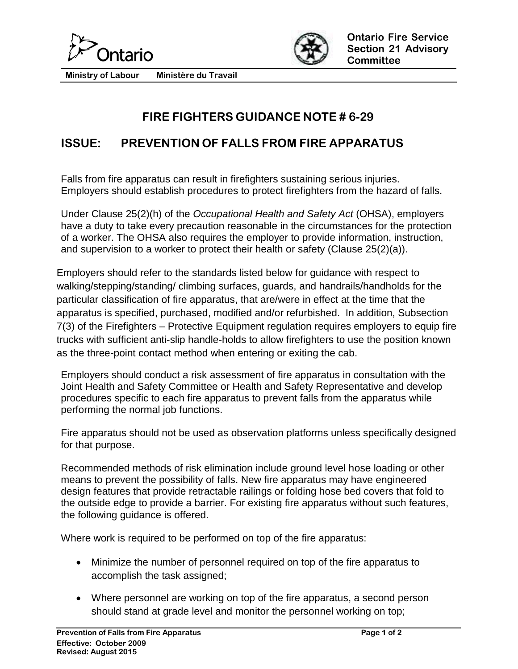



**Ministry of Labour Ministère du Travail**

## **FIRE FIGHTERS GUIDANCE NOTE # 6-29**

## **ISSUE: PREVENTION OF FALLS FROM FIRE APPARATUS**

Falls from fire apparatus can result in firefighters sustaining serious injuries. Employers should establish procedures to protect firefighters from the hazard of falls.

Under Clause 25(2)(h) of the *Occupational Health and Safety Act* (OHSA), employers have a duty to take every precaution reasonable in the circumstances for the protection of a worker. The OHSA also requires the employer to provide information, instruction, and supervision to a worker to protect their health or safety (Clause 25(2)(a)).

Employers should refer to the standards listed below for guidance with respect to walking/stepping/standing/ climbing surfaces, guards, and handrails/handholds for the particular classification of fire apparatus, that are/were in effect at the time that the apparatus is specified, purchased, modified and/or refurbished. In addition, Subsection 7(3) of the Firefighters – Protective Equipment regulation requires employers to equip fire trucks with sufficient anti-slip handle-holds to allow firefighters to use the position known as the three-point contact method when entering or exiting the cab.

Employers should conduct a risk assessment of fire apparatus in consultation with the Joint Health and Safety Committee or Health and Safety Representative and develop procedures specific to each fire apparatus to prevent falls from the apparatus while performing the normal job functions.

Fire apparatus should not be used as observation platforms unless specifically designed for that purpose.

Recommended methods of risk elimination include ground level hose loading or other means to prevent the possibility of falls. New fire apparatus may have engineered design features that provide retractable railings or folding hose bed covers that fold to the outside edge to provide a barrier. For existing fire apparatus without such features, the following guidance is offered.

Where work is required to be performed on top of the fire apparatus:

- Minimize the number of personnel required on top of the fire apparatus to accomplish the task assigned;
- Where personnel are working on top of the fire apparatus, a second person should stand at grade level and monitor the personnel working on top;